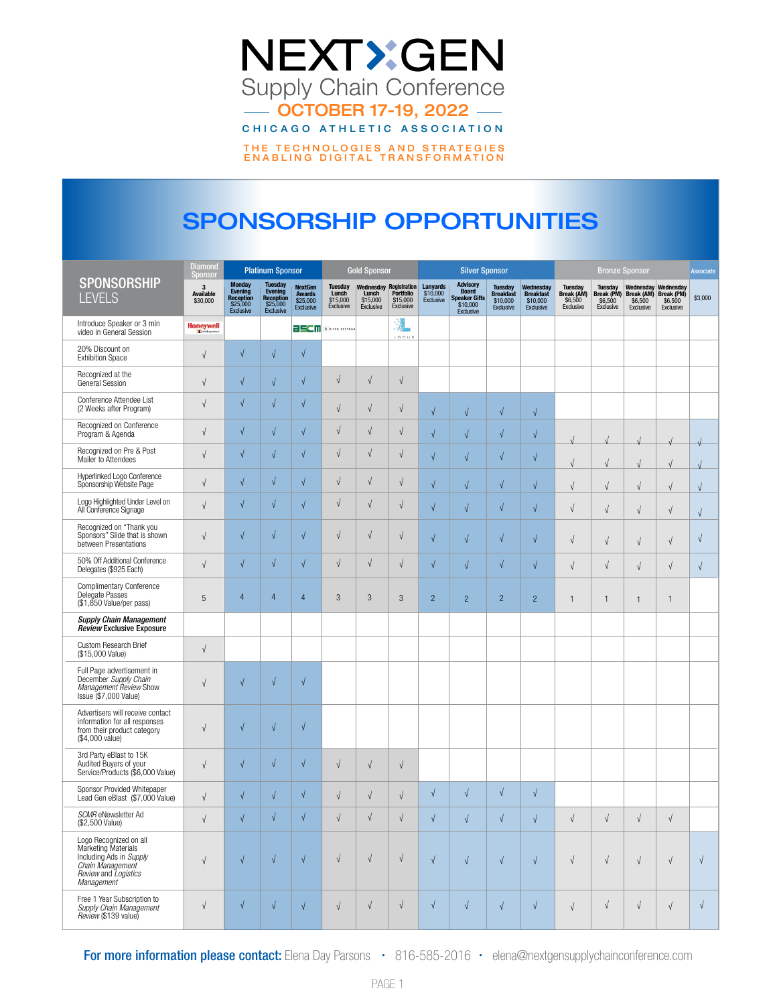

# SPONSORSHIP OPPORTUNITIES

|                                                                                                                                    | <b>Diamond</b><br><b>Platinum Sponsor</b><br><b>Gold Sponsor</b><br><b>Silver Sponsor</b><br>Sponsor |                                                                              |                                                                               |                                                                 | <b>Bronze Sponsor</b>                            |                                                          |                                    |                                   |                                                                                         |                                                      |                                                               |                                                      |                                                             |                                                 |                                                        |            |
|------------------------------------------------------------------------------------------------------------------------------------|------------------------------------------------------------------------------------------------------|------------------------------------------------------------------------------|-------------------------------------------------------------------------------|-----------------------------------------------------------------|--------------------------------------------------|----------------------------------------------------------|------------------------------------|-----------------------------------|-----------------------------------------------------------------------------------------|------------------------------------------------------|---------------------------------------------------------------|------------------------------------------------------|-------------------------------------------------------------|-------------------------------------------------|--------------------------------------------------------|------------|
| <b>SPONSORSHIP</b><br><b>LEVELS</b>                                                                                                | 3<br><b>Available</b><br>\$30,000                                                                    | <b>Monday</b><br>Evening<br><b>Reception</b><br>\$25,000<br><b>Exclusive</b> | <b>Tuesday</b><br>Evening<br><b>Reception</b><br>\$25,000<br><b>Exclusive</b> | <b>NextGen</b><br><b>Awards</b><br>\$25,000<br><b>Exclusive</b> | <b>Tuesday</b><br>Lunch<br>\$15,000<br>Exclusive | Wednesday Registration<br>Lunch<br>\$15,000<br>Exclusive | Portfolio<br>\$15,000<br>Exclusive | Lanyards<br>\$10,000<br>Exclusive | <b>Advisory</b><br><b>Board</b><br><b>Speaker Gifts</b><br>\$10,000<br><b>Exclusive</b> | <b>Tuesday</b><br>Breakfast<br>\$10,000<br>Exclusive | Wednesday<br><b>Breakfast</b><br>\$10,000<br><b>Exclusive</b> | <b>Tuesday</b><br>Break (AM)<br>\$6,500<br>Exclusive | <b>Tuesday</b><br><b>Break (PM)</b><br>\$6,500<br>Exclusive | Wednesday<br>Break (AM)<br>\$6,500<br>Exclusive | Wednesday<br><b>Break (PM)</b><br>\$6,500<br>Exclusive | \$3,000    |
| Introduce Speaker or 3 min<br>video in General Session                                                                             | <b>Honeywell</b>                                                                                     |                                                                              |                                                                               | 25CM                                                            | <b>SCRIVER SYSTEMS</b>                           |                                                          | 颽<br>L O C U S                     |                                   |                                                                                         |                                                      |                                                               |                                                      |                                                             |                                                 |                                                        |            |
| 20% Discount on<br><b>Exhibition Space</b>                                                                                         | $\sqrt{ }$                                                                                           | $\sqrt{}$                                                                    | $\sqrt{ }$                                                                    | $\sqrt{}$                                                       |                                                  |                                                          |                                    |                                   |                                                                                         |                                                      |                                                               |                                                      |                                                             |                                                 |                                                        |            |
| Recognized at the<br>General Session                                                                                               | $\sqrt{ }$                                                                                           | $\sqrt{}$                                                                    | $\sqrt{ }$                                                                    | $\sqrt{ }$                                                      | $\sqrt{}$                                        | $\sqrt{ }$                                               | $\sqrt{ }$                         |                                   |                                                                                         |                                                      |                                                               |                                                      |                                                             |                                                 |                                                        |            |
| Conference Attendee List<br>(2 Weeks after Program)                                                                                | $\sqrt{}$                                                                                            | $\sqrt{2}$                                                                   | $\sqrt{ }$                                                                    | $\sqrt{}$                                                       | $\sqrt{}$                                        | $\sqrt{ }$                                               | $\sqrt{}$                          | $\sqrt{}$                         | $\sqrt{2}$                                                                              | $\sqrt{ }$                                           | $\sqrt{ }$                                                    |                                                      |                                                             |                                                 |                                                        |            |
| Recognized on Conference<br>Program & Agenda                                                                                       | $\sqrt{ }$                                                                                           | $\sqrt{2}$                                                                   | $\sqrt{ }$                                                                    | $\sqrt{ }$                                                      | $\sqrt{ }$                                       | $\sqrt{ }$                                               | $\sqrt{ }$                         | $\sqrt{2}$                        | $\sqrt{}$                                                                               | $\sqrt{ }$                                           | $\sqrt{}$                                                     |                                                      |                                                             |                                                 |                                                        |            |
| Recognized on Pre & Post<br>Mailer to Attendees                                                                                    | $\sqrt{ }$                                                                                           | $\sqrt{}$                                                                    | $\sqrt{ }$                                                                    | $\sqrt{ }$                                                      | $\sqrt{ }$                                       | $\sqrt{ }$                                               | $\sqrt{ }$                         | $\sqrt{2}$                        | $\sqrt{2}$                                                                              | $\sqrt{ }$                                           | $\sqrt{ }$                                                    | $\sqrt{}$                                            | $\sqrt{}$                                                   | $\sqrt{ }$                                      | $\sqrt{ }$                                             |            |
| Hyperlinked Logo Conference<br>Sponsorship Website Page                                                                            | $\sqrt{ }$                                                                                           | $\sqrt{}$                                                                    | $\sqrt{ }$                                                                    | $\sqrt{ }$                                                      | $\sqrt{ }$                                       | $\sqrt{ }$                                               | $\sqrt{}$                          | $\sqrt{ }$                        | $\sqrt{2}$                                                                              | $\sqrt{ }$                                           | $\sqrt{ }$                                                    | $\sqrt{}$                                            | $\sqrt{}$                                                   | $\sqrt{ }$                                      | $\sqrt{ }$                                             | $\sqrt{ }$ |
| Logo Highlighted Under Level on<br>All Conference Signage                                                                          | $\sqrt{}$                                                                                            | $\sqrt{2}$                                                                   | $\sqrt{ }$                                                                    | $\sqrt{}$                                                       | $\sqrt{}$                                        | $\sqrt{ }$                                               | $\sqrt{ }$                         | $\sqrt{ }$                        | $\sqrt{}$                                                                               | $\sqrt{ }$                                           | $\sqrt{ }$                                                    | $\sqrt{}$                                            | $\sqrt{}$                                                   | $\sqrt{ }$                                      | $\sqrt{ }$                                             | $\sqrt{ }$ |
| Recognized on "Thank you<br>Sponsors" Slide that is shown<br>between Presentations                                                 | $\sqrt{ }$                                                                                           | $\sqrt{ }$                                                                   | $\sqrt{ }$                                                                    | $\sqrt{}$                                                       | $\sqrt{}$                                        | $\sqrt{ }$                                               | $\sqrt{ }$                         | $\sqrt{ }$                        | $\sqrt{2}$                                                                              | $\sqrt{ }$                                           | $\sqrt{ }$                                                    | $\sqrt{}$                                            | $\sqrt{}$                                                   | $\sqrt{ }$                                      | $\sqrt{ }$                                             | $\sqrt{ }$ |
| 50% Off Additional Conference<br>Delegates (\$925 Each)                                                                            | $\sqrt{}$                                                                                            | $\sqrt{2}$                                                                   | $\sqrt{ }$                                                                    | $\sqrt{}$                                                       | $\sqrt{ }$                                       | $\sqrt{ }$                                               | $\sqrt{}$                          | $\sqrt{2}$                        | $\sqrt{2}$                                                                              | $\sqrt{ }$                                           | $\sqrt{ }$                                                    | $\sqrt{}$                                            | $\sqrt{}$                                                   | $\sqrt{ }$                                      | $\sqrt{ }$                                             | $\sqrt{ }$ |
| <b>Complimentary Conference</b><br>Delegate Passes<br>(\$1,850 Value/per pass)                                                     | 5                                                                                                    | 4                                                                            | $\overline{4}$                                                                | $\overline{4}$                                                  | 3                                                | 3                                                        | $\mathfrak{S}$                     | $\overline{2}$                    | $\overline{2}$                                                                          | $\overline{2}$                                       | $\overline{c}$                                                | $\mathbf{1}$                                         | $\mathbf{1}$                                                | $\mathbf{1}$                                    | $\overline{1}$                                         |            |
| <b>Supply Chain Management</b><br>Review Exclusive Exposure                                                                        |                                                                                                      |                                                                              |                                                                               |                                                                 |                                                  |                                                          |                                    |                                   |                                                                                         |                                                      |                                                               |                                                      |                                                             |                                                 |                                                        |            |
| Custom Research Brief<br>(\$15,000 Value)                                                                                          | $\sqrt{ }$                                                                                           |                                                                              |                                                                               |                                                                 |                                                  |                                                          |                                    |                                   |                                                                                         |                                                      |                                                               |                                                      |                                                             |                                                 |                                                        |            |
| Full Page advertisement in<br>December Supply Chain<br>Management Review Show<br>Issue (\$7,000 Value)                             | $\sqrt{ }$                                                                                           | $\sqrt{2}$                                                                   | $\sqrt{ }$                                                                    | $\sqrt{}$                                                       |                                                  |                                                          |                                    |                                   |                                                                                         |                                                      |                                                               |                                                      |                                                             |                                                 |                                                        |            |
| Advertisers will receive contact<br>information for all responses<br>from their product category<br>(\$4,000 value)                | $\sqrt{ }$                                                                                           | $\sqrt{2}$                                                                   | $\sqrt{ }$                                                                    | $\sqrt{}$                                                       |                                                  |                                                          |                                    |                                   |                                                                                         |                                                      |                                                               |                                                      |                                                             |                                                 |                                                        |            |
| 3rd Party eBlast to 15K<br>Audited Buyers of your<br>Service/Products (\$6,000 Value)                                              | $\sqrt{ }$                                                                                           | $\sqrt{}$                                                                    | $\sqrt{ }$                                                                    | $\sqrt{ }$                                                      | $\sqrt{ }$                                       | $\sqrt{ }$                                               | $\sqrt{ }$                         |                                   |                                                                                         |                                                      |                                                               |                                                      |                                                             |                                                 |                                                        |            |
| Sponsor Provided Whitepaper<br>Lead Gen eBlast (\$7,000 Value)                                                                     | $\sqrt{ }$                                                                                           | $\sqrt{}$                                                                    | $\sqrt{ }$                                                                    | √                                                               | $\sqrt{ }$                                       | $\sqrt{ }$                                               | $\sqrt{ }$                         | $\sqrt{}$                         | $\sqrt{}$                                                                               | $\sqrt{ }$                                           | $\sqrt{ }$                                                    |                                                      |                                                             |                                                 |                                                        |            |
| SCMR eNewsletter Ad<br>(\$2,500 Value)                                                                                             | $\sqrt{ }$                                                                                           | $\sqrt{2}$                                                                   | $\sqrt{ }$                                                                    | $\sqrt{ }$                                                      | $\sqrt{}$                                        | $\sqrt{ }$                                               | $\sqrt{}$                          | $\sqrt{2}$                        | $\sqrt{}$                                                                               | $\sqrt{}$                                            | $\sqrt{ }$                                                    | $\sqrt{}$                                            | $\sqrt{}$                                                   | $\sqrt{ }$                                      | $\sqrt{ }$                                             |            |
| Logo Recognized on all<br>Marketing Materials<br>Including Ads in Supply<br>Chain Management<br>Review and Logistics<br>Management | $\sqrt{ }$                                                                                           | $\sqrt{}$                                                                    | $\sqrt{ }$                                                                    | $\sqrt{ }$                                                      | $\sqrt{}$                                        | $\sqrt{}$                                                | $\sqrt{ }$                         | $\sqrt{ }$                        | $\sqrt{ }$                                                                              | $\sqrt{ }$                                           | $\sqrt{ }$                                                    | $\sqrt{ }$                                           | $\sqrt{}$                                                   | $\sqrt{ }$                                      | $\sqrt{ }$                                             | $\sqrt{ }$ |
| Free 1 Year Subscription to<br>Supply Chain Management<br>Review (\$139 value)                                                     | $\sqrt{ }$                                                                                           | $\sqrt{\phantom{a}}$                                                         | $\sqrt{ }$                                                                    | $\sqrt{ }$                                                      | $\sqrt{}$                                        | $\sqrt{ }$                                               | $\sqrt{}$                          | $\sqrt{ }$                        | $\sqrt{ }$                                                                              | $\sqrt{ }$                                           | $\sqrt{ }$                                                    | $\sqrt{ }$                                           | $\sqrt{ }$                                                  | $\sqrt{ }$                                      | $\sqrt{ }$                                             | $\sqrt{}$  |

For more information please contact: Elena Day Parsons • 816-585-2016 • elena@nextgensupplychainconference.com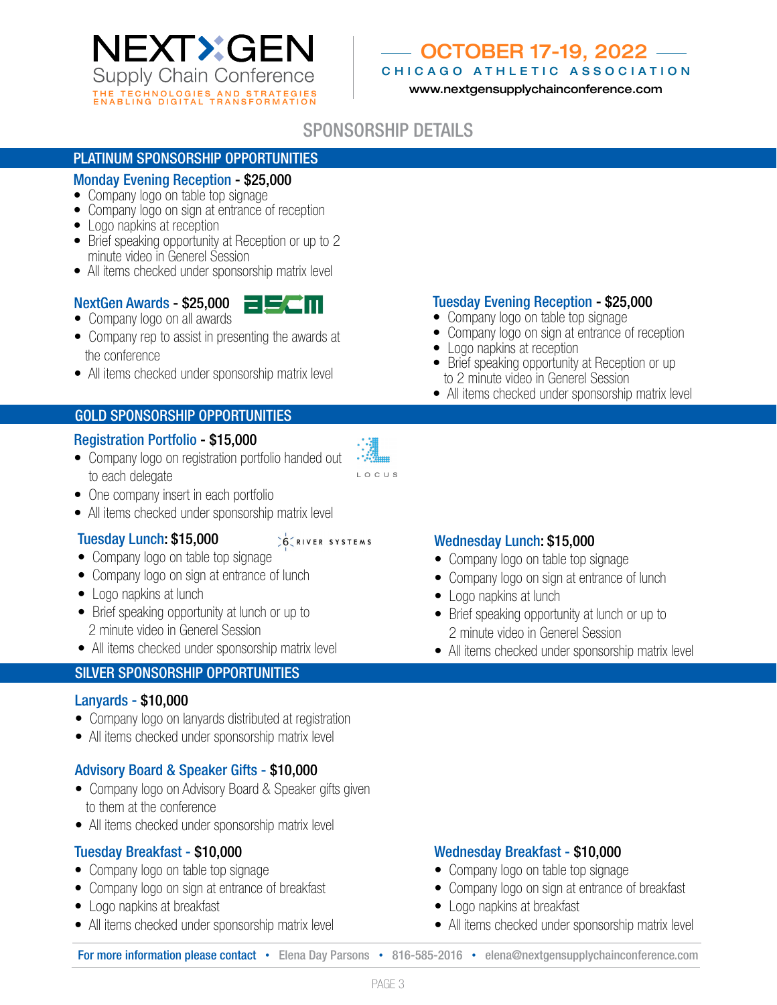

# OCTOBER 17-19, 2022

CHICAGO ATHLETIC ASSOCIATION

www.nextgensupplychainconference.com

# SPONSORSHIP DETAILS

#### PLATINUM SPONSORSHIP OPPORTUNITIES

#### Monday Evening Reception - \$25,000

- Company logo on table top signage
- Company logo on sign at entrance of reception
- Logo napkins at reception
- Brief speaking opportunity at Reception or up to 2 minute video in Generel Session
- All items checked under sponsorship matrix level

#### NextGen Awards - \$25,000

- Company logo on all awards
- Company rep to assist in presenting the awards at the conference
- All items checked under sponsorship matrix level

#### GOLD SPONSORSHIP OPPORTUNITIES

#### Registration Portfolio - \$15,000

- Company logo on registration portfolio handed out to each delegate
- One company insert in each portfolio
- All items checked under sponsorship matrix level

#### Tuesday Lunch: \$15,000

#### 6 RIVER SYSTEMS

LOCUS

- Company logo on table top signage
- Company logo on sign at entrance of lunch
- Logo napkins at lunch
- Brief speaking opportunity at lunch or up to 2 minute video in Generel Session
- All items checked under sponsorship matrix level

## SILVER SPONSORSHIP OPPORTUNITIES

#### Lanyards - \$10,000

- Company logo on lanyards distributed at registration
- All items checked under sponsorship matrix level

#### Advisory Board & Speaker Gifts - \$10,000

- Company logo on Advisory Board & Speaker gifts given to them at the conference
- All items checked under sponsorship matrix level

#### Tuesday Breakfast - \$10,000

- Company logo on table top signage
- Company logo on sign at entrance of breakfast
- Logo napkins at breakfast
- All items checked under sponsorship matrix level

## Tuesday Evening Reception - \$25,000

- Company logo on table top signage
- Company logo on sign at entrance of reception
- Logo napkins at reception
- Brief speaking opportunity at Reception or up to 2 minute video in Generel Session
- All items checked under sponsorship matrix level

#### Wednesday Lunch: \$15,000

- Company logo on table top signage
- Company logo on sign at entrance of lunch
- Logo napkins at lunch
- Brief speaking opportunity at lunch or up to 2 minute video in Generel Session
- All items checked under sponsorship matrix level

#### Wednesday Breakfast - \$10,000

- Company logo on table top signage
- Company logo on sign at entrance of breakfast
- Logo napkins at breakfast
- All items checked under sponsorship matrix level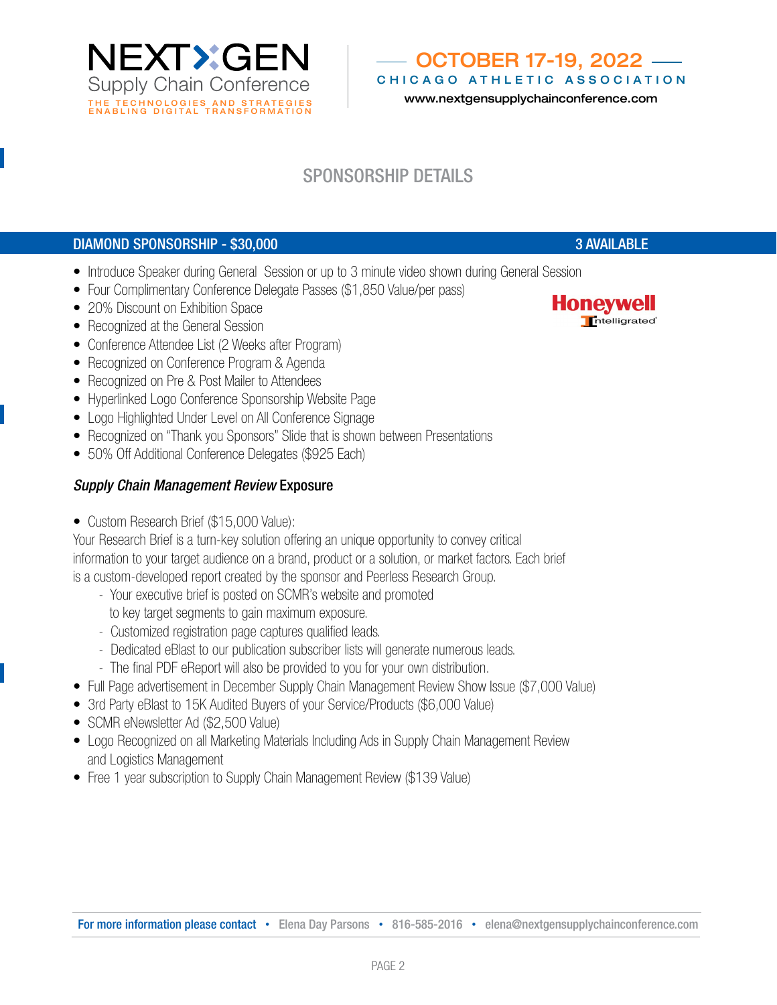NEXTXGEN **Supply Chain Conference** THE TECHNOLOGIES AND STRATEGIES<br>ENABLING DIGITAL TRANSFORMATION

#### OCTOBER 17-19, 2022 CHICAGO ATHLETIC ASSOCIATION

www.nextgensupplychainconference.com

# SPONSORSHIP DETAILS

## DIAMOND SPONSORSHIP - \$30,000 3 AVAILABLE

- Introduce Speaker during General Session or up to 3 minute video shown during General Session
- Four Complimentary Conference Delegate Passes (\$1,850 Value/per pass)
- 20% Discount on Exhibition Space
- Recognized at the General Session
- Conference Attendee List (2 Weeks after Program)
- Recognized on Conference Program & Agenda
- Recognized on Pre & Post Mailer to Attendees
- Hyperlinked Logo Conference Sponsorship Website Page
- Logo Highlighted Under Level on All Conference Signage
- Recognized on "Thank you Sponsors" Slide that is shown between Presentations
- 50% Off Additional Conference Delegates (\$925 Each)

## *Supply Chain Management Review* Exposure

• Custom Research Brief (\$15,000 Value):

Your Research Brief is a turn-key solution offering an unique opportunity to convey critical information to your target audience on a brand, product or a solution, or market factors. Each brief is a custom-developed report created by the sponsor and Peerless Research Group.

- Your executive brief is posted on SCMR's website and promoted to key target segments to gain maximum exposure.
- Customized registration page captures qualified leads.
- Dedicated eBlast to our publication subscriber lists will generate numerous leads.
- The final PDF eReport will also be provided to you for your own distribution.
- Full Page advertisement in December Supply Chain Management Review Show Issue (\$7,000 Value)
- 3rd Party eBlast to 15K Audited Buyers of your Service/Products (\$6,000 Value)
- SCMR eNewsletter Ad (\$2,500 Value)
- Logo Recognized on all Marketing Materials Including Ads in Supply Chain Management Review and Logistics Management
- Free 1 year subscription to Supply Chain Management Review (\$139 Value)

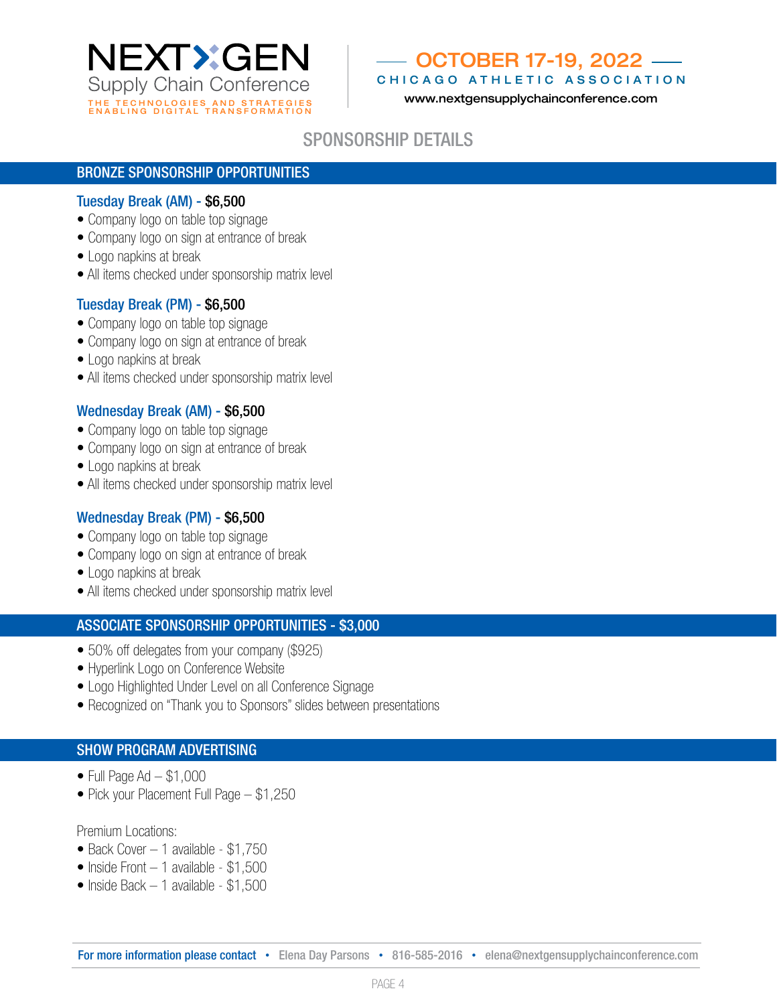

# OCTOBER 17-19, 2022

CHICAGO ATHLETIC ASSOCIATION

## SPONSORSHIP DETAILS

#### BRONZE SPONSORSHIP OPPORTUNITIES

#### Tuesday Break (AM) - \$6,500

- Company logo on table top signage
- Company logo on sign at entrance of break
- Logo napkins at break
- All items checked under sponsorship matrix level

#### Tuesday Break (PM) - \$6,500

- Company logo on table top signage
- Company logo on sign at entrance of break
- Logo napkins at break
- All items checked under sponsorship matrix level

### Wednesday Break (AM) - \$6,500

- Company logo on table top signage
- Company logo on sign at entrance of break
- Logo napkins at break
- All items checked under sponsorship matrix level

#### Wednesday Break (PM) - \$6,500

- Company logo on table top signage
- Company logo on sign at entrance of break
- Logo napkins at break
- All items checked under sponsorship matrix level

#### ASSOCIATE SPONSORSHIP OPPORTUNITIES - \$3,000

- 50% off delegates from your company (\$925)
- Hyperlink Logo on Conference Website
- Logo Highlighted Under Level on all Conference Signage
- Recognized on "Thank you to Sponsors" slides between presentations

#### SHOW PROGRAM ADVERTISING

- $\bullet$  Full Page Ad  $-$  \$1,000
- Pick your Placement Full Page \$1,250

#### Premium Locations:

- Back Cover 1 available \$1,750
- Inside Front 1 available \$1,500
- Inside Back 1 available \$1,500